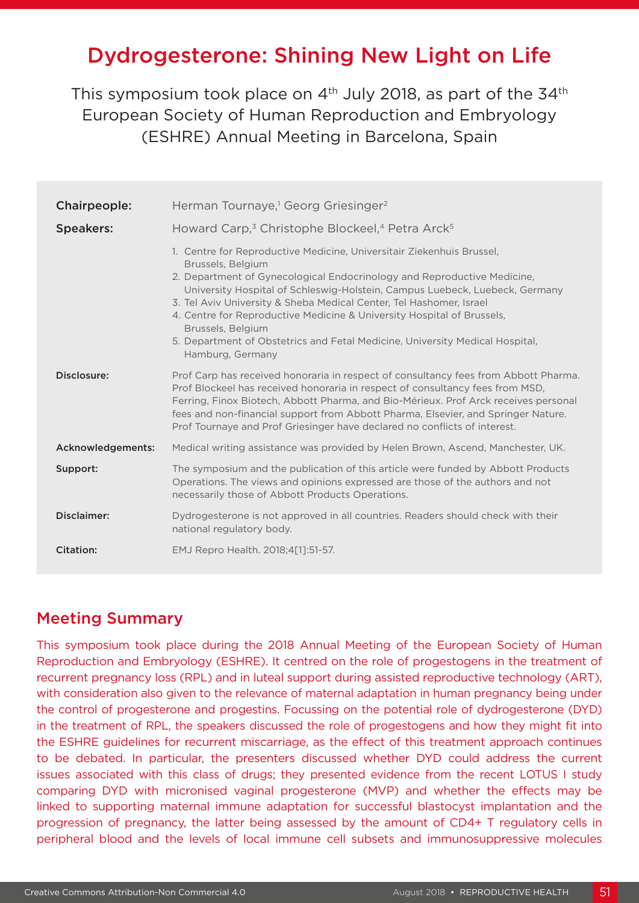# Dydrogesterone: Shining New Light on Life

This symposium took place on  $4<sup>th</sup>$  July 2018, as part of the 34<sup>th</sup> European Society of Human Reproduction and Embryology (ESHRE) Annual Meeting in Barcelona, Spain

| <b>Chairpeople:</b> | Herman Tournaye, <sup>1</sup> Georg Griesinger <sup>2</sup>                                                                                                                                                                                                                                                                                                                                                                                                                                                                    |
|---------------------|--------------------------------------------------------------------------------------------------------------------------------------------------------------------------------------------------------------------------------------------------------------------------------------------------------------------------------------------------------------------------------------------------------------------------------------------------------------------------------------------------------------------------------|
| <b>Speakers:</b>    | Howard Carp, <sup>3</sup> Christophe Blockeel, <sup>4</sup> Petra Arck <sup>5</sup>                                                                                                                                                                                                                                                                                                                                                                                                                                            |
|                     | 1. Centre for Reproductive Medicine, Universitair Ziekenhuis Brussel,<br>Brussels, Belgium<br>2. Department of Gynecological Endocrinology and Reproductive Medicine.<br>University Hospital of Schleswig-Holstein, Campus Luebeck, Luebeck, Germany<br>3. Tel Aviv University & Sheba Medical Center, Tel Hashomer, Israel<br>4. Centre for Reproductive Medicine & University Hospital of Brussels,<br>Brussels, Belgium<br>5. Department of Obstetrics and Fetal Medicine, University Medical Hospital,<br>Hamburg, Germany |
| Disclosure:         | Prof Carp has received honoraria in respect of consultancy fees from Abbott Pharma.<br>Prof Blockeel has received honoraria in respect of consultancy fees from MSD,<br>Ferring, Finox Biotech, Abbott Pharma, and Bio-Mérieux. Prof Arck receives personal<br>fees and non-financial support from Abbott Pharma, Elsevier, and Springer Nature.<br>Prof Tournaye and Prof Griesinger have declared no conflicts of interest.                                                                                                  |
| Acknowledgements:   | Medical writing assistance was provided by Helen Brown, Ascend, Manchester, UK.                                                                                                                                                                                                                                                                                                                                                                                                                                                |
| Support:            | The symposium and the publication of this article were funded by Abbott Products<br>Operations. The views and opinions expressed are those of the authors and not<br>necessarily those of Abbott Products Operations.                                                                                                                                                                                                                                                                                                          |
| Disclaimer:         | Dydrogesterone is not approved in all countries. Readers should check with their<br>national regulatory body.                                                                                                                                                                                                                                                                                                                                                                                                                  |
| Citation:           | EMJ Repro Health. 2018;4[1]:51-57.                                                                                                                                                                                                                                                                                                                                                                                                                                                                                             |

#### Meeting Summary

This symposium took place during the 2018 Annual Meeting of the European Society of Human Reproduction and Embryology (ESHRE). It centred on the role of progestogens in the treatment of recurrent pregnancy loss (RPL) and in luteal support during assisted reproductive technology (ART), with consideration also given to the relevance of maternal adaptation in human pregnancy being under the control of progesterone and progestins. Focussing on the potential role of dydrogesterone (DYD) in the treatment of RPL, the speakers discussed the role of progestogens and how they might fit into the ESHRE guidelines for recurrent miscarriage, as the effect of this treatment approach continues to be debated. In particular, the presenters discussed whether DYD could address the current issues associated with this class of drugs; they presented evidence from the recent LOTUS I study comparing DYD with micronised vaginal progesterone (MVP) and whether the effects may be linked to supporting maternal immune adaptation for successful blastocyst implantation and the progression of pregnancy, the latter being assessed by the amount of CD4+ T regulatory cells in peripheral blood and the levels of local immune cell subsets and immunosuppressive molecules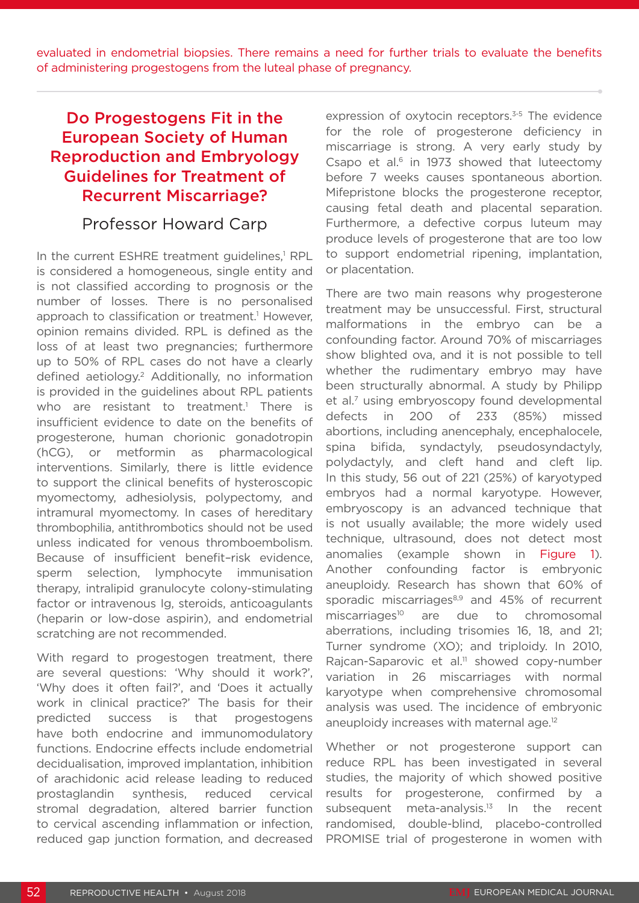evaluated in endometrial biopsies. There remains a need for further trials to evaluate the benefits of administering progestogens from the luteal phase of pregnancy.

# Do Progestogens Fit in the European Society of Human Reproduction and Embryology Guidelines for Treatment of Recurrent Miscarriage?

#### Professor Howard Carp

In the current ESHRE treatment guidelines,<sup>1</sup> RPL is considered a homogeneous, single entity and is not classified according to prognosis or the number of losses. There is no personalised approach to classification or treatment.<sup>1</sup> However, opinion remains divided. RPL is defined as the loss of at least two pregnancies; furthermore up to 50% of RPL cases do not have a clearly defined aetiology.2 Additionally, no information is provided in the guidelines about RPL patients who are resistant to treatment.<sup>1</sup> There is insufficient evidence to date on the benefits of progesterone, human chorionic gonadotropin (hCG), or metformin as pharmacological interventions. Similarly, there is little evidence to support the clinical benefits of hysteroscopic myomectomy, adhesiolysis, polypectomy, and intramural myomectomy. In cases of hereditary thrombophilia, antithrombotics should not be used unless indicated for venous thromboembolism. Because of insufficient benefit–risk evidence, sperm selection, lymphocyte immunisation therapy, intralipid granulocyte colony-stimulating factor or intravenous Ig, steroids, anticoagulants (heparin or low-dose aspirin), and endometrial scratching are not recommended.

With regard to progestogen treatment, there are several questions: 'Why should it work?', 'Why does it often fail?', and 'Does it actually work in clinical practice?' The basis for their predicted success is that progestogens have both endocrine and immunomodulatory functions. Endocrine effects include endometrial decidualisation, improved implantation, inhibition of arachidonic acid release leading to reduced prostaglandin synthesis, reduced cervical stromal degradation, altered barrier function to cervical ascending inflammation or infection, reduced gap junction formation, and decreased

expression of oxytocin receptors.<sup>3-5</sup> The evidence for the role of progesterone deficiency in miscarriage is strong. A very early study by Csapo et al. $6$  in 1973 showed that luteectomy before 7 weeks causes spontaneous abortion. Mifepristone blocks the progesterone receptor, causing fetal death and placental separation. Furthermore, a defective corpus luteum may produce levels of progesterone that are too low to support endometrial ripening, implantation, or placentation.

There are two main reasons why progesterone treatment may be unsuccessful. First, structural malformations in the embryo can be a confounding factor. Around 70% of miscarriages show blighted ova, and it is not possible to tell whether the rudimentary embryo may have been structurally abnormal. A study by Philipp et al.<sup>7</sup> using embryoscopy found developmental defects in 200 of 233 (85%) missed abortions, including anencephaly, encephalocele, spina bifida, syndactyly, pseudosyndactyly, polydactyly, and cleft hand and cleft lip. In this study, 56 out of 221 (25%) of karyotyped embryos had a normal karyotype. However, embryoscopy is an advanced technique that is not usually available; the more widely used technique, ultrasound, does not detect most anomalies (example shown in Figure 1). Another confounding factor is embryonic aneuploidy. Research has shown that 60% of sporadic miscarriages<sup>8,9</sup> and 45% of recurrent miscarriages<sup>10</sup> are due to chromosomal aberrations, including trisomies 16, 18, and 21; Turner syndrome (XO); and triploidy. In 2010, Rajcan-Saparovic et al.<sup>11</sup> showed copy-number variation in 26 miscarriages with normal karyotype when comprehensive chromosomal analysis was used. The incidence of embryonic aneuploidy increases with maternal age.<sup>12</sup>

Whether or not progesterone support can reduce RPL has been investigated in several studies, the majority of which showed positive results for progesterone, confirmed by a subsequent meta-analysis.<sup>13</sup> In the recent randomised, double-blind, placebo-controlled PROMISE trial of progesterone in women with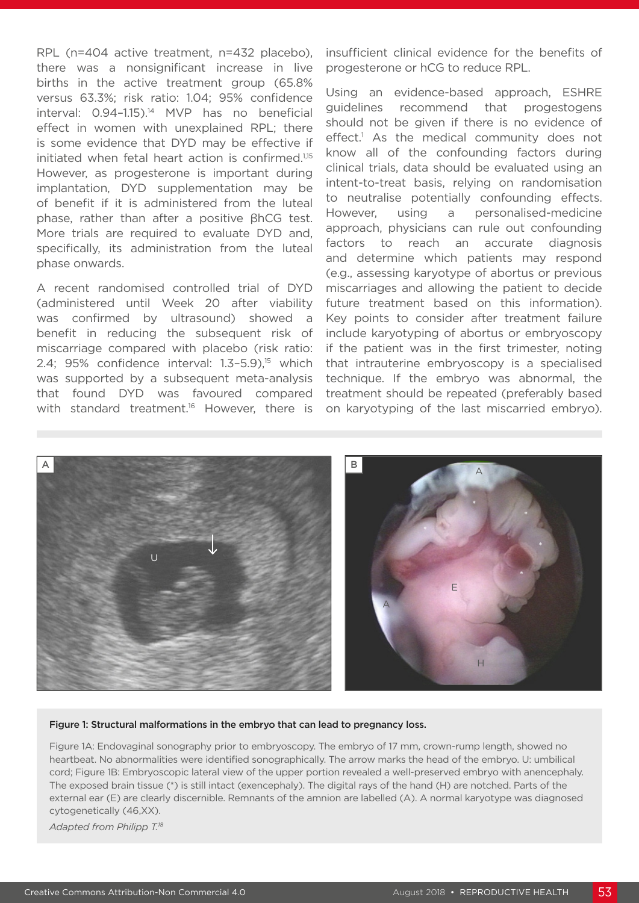RPL (n=404 active treatment, n=432 placebo), there was a nonsignificant increase in live births in the active treatment group (65.8% versus 63.3%; risk ratio: 1.04; 95% confidence interval: 0.94–1.15).14 MVP has no beneficial effect in women with unexplained RPL; there is some evidence that DYD may be effective if initiated when fetal heart action is confirmed.<sup>1,15</sup> However, as progesterone is important during implantation, DYD supplementation may be of benefit if it is administered from the luteal phase, rather than after a positive βhCG test. More trials are required to evaluate DYD and, specifically, its administration from the luteal phase onwards.

A recent randomised controlled trial of DYD (administered until Week 20 after viability was confirmed by ultrasound) showed a benefit in reducing the subsequent risk of miscarriage compared with placebo (risk ratio: 2.4; 95% confidence interval: 1.3-5.9),<sup>15</sup> which was supported by a subsequent meta-analysis that found DYD was favoured compared with standard treatment.<sup>16</sup> However, there is insufficient clinical evidence for the benefits of progesterone or hCG to reduce RPL.

Using an evidence-based approach, ESHRE guidelines recommend that progestogens should not be given if there is no evidence of effect.<sup>1</sup> As the medical community does not know all of the confounding factors during clinical trials, data should be evaluated using an intent-to-treat basis, relying on randomisation to neutralise potentially confounding effects. However, using a personalised-medicine approach, physicians can rule out confounding factors to reach an accurate diagnosis and determine which patients may respond (e.g., assessing karyotype of abortus or previous miscarriages and allowing the patient to decide future treatment based on this information). Key points to consider after treatment failure include karyotyping of abortus or embryoscopy if the patient was in the first trimester, noting that intrauterine embryoscopy is a specialised technique. If the embryo was abnormal, the treatment should be repeated (preferably based on karyotyping of the last miscarried embryo).



#### Figure 1: Structural malformations in the embryo that can lead to pregnancy loss.

Figure 1A: Endovaginal sonography prior to embryoscopy. The embryo of 17 mm, crown-rump length, showed no heartbeat. No abnormalities were identified sonographically. The arrow marks the head of the embryo. U: umbilical cord; Figure 1B: Embryoscopic lateral view of the upper portion revealed a well-preserved embryo with anencephaly. The exposed brain tissue (\*) is still intact (exencephaly). The digital rays of the hand (H) are notched. Parts of the external ear (E) are clearly discernible. Remnants of the amnion are labelled (A). A normal karyotype was diagnosed cytogenetically (46,XX).

*Adapted from Philipp T.18*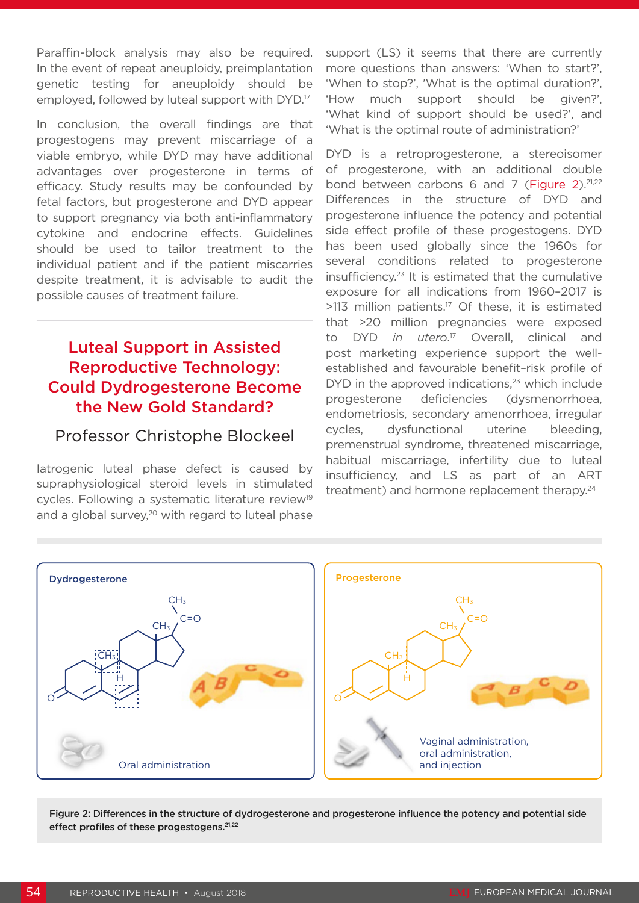Paraffin-block analysis may also be required. In the event of repeat aneuploidy, preimplantation genetic testing for aneuploidy should be employed, followed by luteal support with DYD.17

In conclusion, the overall findings are that progestogens may prevent miscarriage of a viable embryo, while DYD may have additional advantages over progesterone in terms of efficacy. Study results may be confounded by fetal factors, but progesterone and DYD appear to support pregnancy via both anti-inflammatory cytokine and endocrine effects. Guidelines should be used to tailor treatment to the individual patient and if the patient miscarries despite treatment, it is advisable to audit the possible causes of treatment failure.

# Luteal Support in Assisted Reproductive Technology: Could Dydrogesterone Become the New Gold Standard?

### Professor Christophe Blockeel

Iatrogenic luteal phase defect is caused by supraphysiological steroid levels in stimulated cycles. Following a systematic literature review<sup>19</sup> and a global survey,<sup>20</sup> with regard to luteal phase support (LS) it seems that there are currently more questions than answers: 'When to start?', 'When to stop?', 'What is the optimal duration?', 'How much support should be given?', 'What kind of support should be used?', and 'What is the optimal route of administration?'

DYD is a retroprogesterone, a stereoisomer of progesterone, with an additional double bond between carbons 6 and 7 (Figure 2).<sup>21,22</sup> Differences in the structure of DYD and progesterone influence the potency and potential side effect profile of these progestogens. DYD has been used globally since the 1960s for several conditions related to progesterone insufficiency.23 It is estimated that the cumulative exposure for all indications from 1960–2017 is  $>113$  million patients.<sup>17</sup> Of these, it is estimated that >20 million pregnancies were exposed to DYD *in utero*. 17 Overall, clinical and post marketing experience support the wellestablished and favourable benefit–risk profile of  $DYD$  in the approved indications, $23$  which include progesterone deficiencies (dysmenorrhoea, endometriosis, secondary amenorrhoea, irregular cycles, dysfunctional uterine bleeding, premenstrual syndrome, threatened miscarriage, habitual miscarriage, infertility due to luteal insufficiency, and LS as part of an ART treatment) and hormone replacement therapy.<sup>24</sup>



Figure 2: Differences in the structure of dydrogesterone and progesterone influence the potency and potential side effect profiles of these progestogens.<sup>21,22</sup>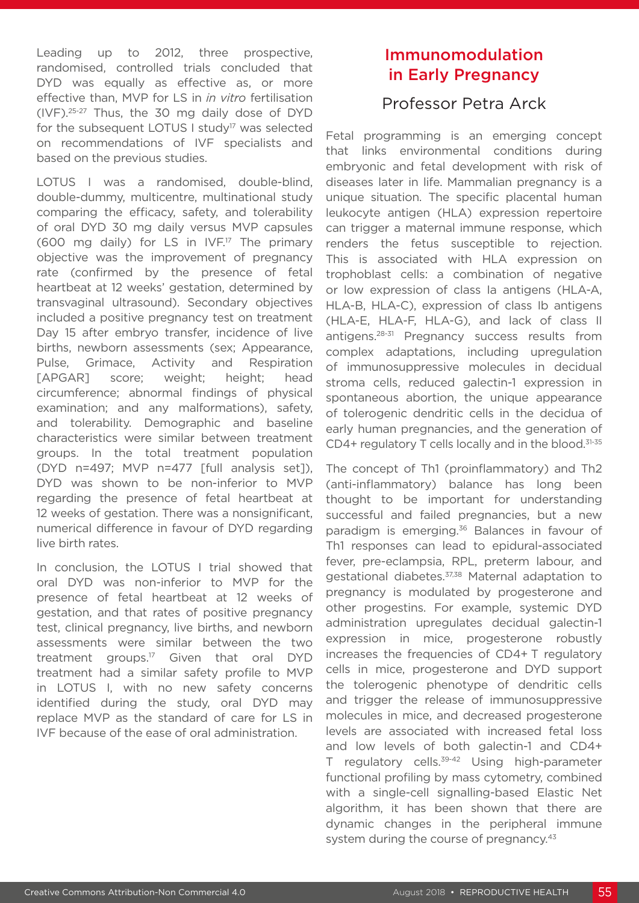Leading up to 2012, three prospective, randomised, controlled trials concluded that DYD was equally as effective as, or more effective than, MVP for LS in *in vitro* fertilisation (IVF).25-27 Thus, the 30 mg daily dose of DYD for the subsequent LOTUS I study<sup>17</sup> was selected on recommendations of IVF specialists and based on the previous studies.

LOTUS I was a randomised, double-blind, double-dummy, multicentre, multinational study comparing the efficacy, safety, and tolerability of oral DYD 30 mg daily versus MVP capsules (600 mg daily) for LS in  $IVF<sup>17</sup>$  The primary objective was the improvement of pregnancy rate (confirmed by the presence of fetal heartbeat at 12 weeks' gestation, determined by transvaginal ultrasound). Secondary objectives included a positive pregnancy test on treatment Day 15 after embryo transfer, incidence of live births, newborn assessments (sex; Appearance, Pulse, Grimace, Activity and Respiration [APGAR] score; weight; height; head circumference; abnormal findings of physical examination; and any malformations), safety, and tolerability. Demographic and baseline characteristics were similar between treatment groups. In the total treatment population (DYD n=497; MVP n=477 [full analysis set]), DYD was shown to be non-inferior to MVP regarding the presence of fetal heartbeat at 12 weeks of gestation. There was a nonsignificant, numerical difference in favour of DYD regarding live birth rates.

In conclusion, the LOTUS I trial showed that oral DYD was non-inferior to MVP for the presence of fetal heartbeat at 12 weeks of gestation, and that rates of positive pregnancy test, clinical pregnancy, live births, and newborn assessments were similar between the two treatment groups.17 Given that oral DYD treatment had a similar safety profile to MVP in LOTUS I, with no new safety concerns identified during the study, oral DYD may replace MVP as the standard of care for LS in IVF because of the ease of oral administration.

# Immunomodulation in Early Pregnancy

### Professor Petra Arck

Fetal programming is an emerging concept that links environmental conditions during embryonic and fetal development with risk of diseases later in life. Mammalian pregnancy is a unique situation. The specific placental human leukocyte antigen (HLA) expression repertoire can trigger a maternal immune response, which renders the fetus susceptible to rejection. This is associated with HLA expression on trophoblast cells: a combination of negative or low expression of class Ia antigens (HLA-A, HLA-B, HLA-C), expression of class Ib antigens (HLA-E, HLA-F, HLA-G), and lack of class II antigens.28-31 Pregnancy success results from complex adaptations, including upregulation of immunosuppressive molecules in decidual stroma cells, reduced galectin-1 expression in spontaneous abortion, the unique appearance of tolerogenic dendritic cells in the decidua of early human pregnancies, and the generation of CD4+ regulatory T cells locally and in the blood.<sup>31-35</sup>

The concept of Th1 (proinflammatory) and Th2 (anti-inflammatory) balance has long been thought to be important for understanding successful and failed pregnancies, but a new paradigm is emerging.<sup>36</sup> Balances in favour of Th1 responses can lead to epidural-associated fever, pre-eclampsia, RPL, preterm labour, and gestational diabetes.<sup>37,38</sup> Maternal adaptation to pregnancy is modulated by progesterone and other progestins. For example, systemic DYD administration upregulates decidual galectin-1 expression in mice, progesterone robustly increases the frequencies of CD4+ T regulatory cells in mice, progesterone and DYD support the tolerogenic phenotype of dendritic cells and trigger the release of immunosuppressive molecules in mice, and decreased progesterone levels are associated with increased fetal loss and low levels of both galectin-1 and CD4+ T regulatory cells.39-42 Using high-parameter functional profiling by mass cytometry, combined with a single-cell signalling-based Elastic Net algorithm, it has been shown that there are dynamic changes in the peripheral immune system during the course of pregnancy.<sup>43</sup>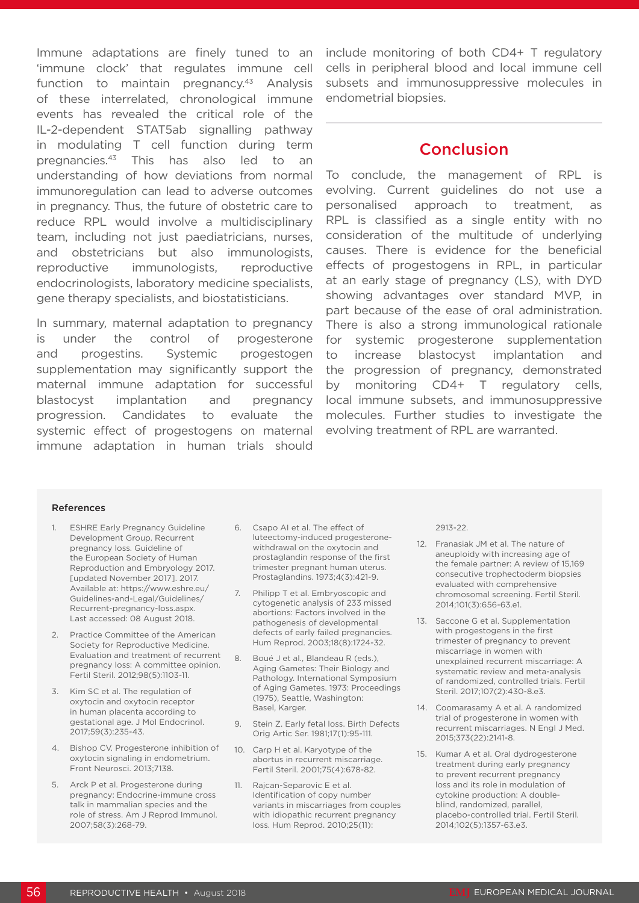Immune adaptations are finely tuned to an 'immune clock' that regulates immune cell function to maintain pregnancy. $43$  Analysis of these interrelated, chronological immune events has revealed the critical role of the IL-2-dependent STAT5ab signalling pathway in modulating T cell function during term pregnancies.43 This has also led to an understanding of how deviations from normal immunoregulation can lead to adverse outcomes in pregnancy. Thus, the future of obstetric care to reduce RPL would involve a multidisciplinary team, including not just paediatricians, nurses, and obstetricians but also immunologists, reproductive immunologists, reproductive endocrinologists, laboratory medicine specialists, gene therapy specialists, and biostatisticians.

In summary, maternal adaptation to pregnancy is under the control of progesterone and progestins. Systemic progestogen supplementation may significantly support the maternal immune adaptation for successful blastocyst implantation and pregnancy progression. Candidates to evaluate the systemic effect of progestogens on maternal immune adaptation in human trials should

include monitoring of both CD4+ T regulatory cells in peripheral blood and local immune cell subsets and immunosuppressive molecules in endometrial biopsies.

#### **Conclusion**

To conclude, the management of RPL is evolving. Current guidelines do not use a personalised approach to treatment, as RPL is classified as a single entity with no consideration of the multitude of underlying causes. There is evidence for the beneficial effects of progestogens in RPL, in particular at an early stage of pregnancy (LS), with DYD showing advantages over standard MVP, in part because of the ease of oral administration. There is also a strong immunological rationale for systemic progesterone supplementation to increase blastocyst implantation and the progression of pregnancy, demonstrated by monitoring CD4+ T regulatory cells, local immune subsets, and immunosuppressive molecules. Further studies to investigate the evolving treatment of RPL are warranted.

#### References

- 1. ESHRE Early Pregnancy Guideline Development Group. Recurrent pregnancy loss. Guideline of the European Society of Human Reproduction and Embryology 2017. [updated November 2017]. 2017. Available at: https://www.eshre.eu/ Guidelines-and-Legal/Guidelines/ Recurrent-pregnancy-loss.aspx. Last accessed: 08 August 2018.
- 2. Practice Committee of the American Society for Reproductive Medicine. Evaluation and treatment of recurrent pregnancy loss: A committee opinion. Fertil Steril. 2012;98(5):1103-11.
- 3. Kim SC et al. The regulation of oxytocin and oxytocin receptor in human placenta according to gestational age. J Mol Endocrinol. 2017;59(3):235-43.
- 4. Bishop CV. Progesterone inhibition of oxytocin signaling in endometrium. Front Neurosci. 2013;7138.
- 5. Arck P et al. Progesterone during pregnancy: Endocrine-immune cross talk in mammalian species and the role of stress. Am J Reprod Immunol. 2007;58(3):268-79.
- 6. Csapo AI et al. The effect of luteectomy-induced progesteronewithdrawal on the oxytocin and prostaglandin response of the first trimester pregnant human uterus. Prostaglandins. 1973;4(3):421-9.
- 7. Philipp T et al. Embryoscopic and cytogenetic analysis of 233 missed abortions: Factors involved in the pathogenesis of developmental defects of early failed pregnancies. Hum Reprod. 2003;18(8):1724-32.
- 8. Boué J et al., Blandeau R (eds.), Aging Gametes: Their Biology and Pathology. International Symposium of Aging Gametes. 1973: Proceedings (1975), Seattle, Washington: Basel, Karger.
- 9. Stein Z. Early fetal loss. Birth Defects Orig Artic Ser. 1981;17(1):95-111.
- 10. Carp H et al. Karyotype of the abortus in recurrent miscarriage. Fertil Steril. 2001;75(4):678-82.
- 11. Rajcan-Separovic E et al. Identification of copy number variants in miscarriages from couples with idiopathic recurrent pregnancy loss. Hum Reprod. 2010;25(11):

2913-22.

- 12. Franasiak JM et al. The nature of aneuploidy with increasing age of the female partner: A review of 15,169 consecutive trophectoderm biopsies evaluated with comprehensive chromosomal screening. Fertil Steril. 2014;101(3):656-63.e1.
- 13. Saccone G et al. Supplementation with progestogens in the first trimester of pregnancy to prevent miscarriage in women with unexplained recurrent miscarriage: A systematic review and meta-analysis of randomized, controlled trials. Fertil Steril. 2017;107(2):430-8.e3.
- 14. Coomarasamy A et al. A randomized trial of progesterone in women with recurrent miscarriages. N Engl J Med. 2015;373(22):2141-8.
- 15. Kumar A et al. Oral dydrogesterone treatment during early pregnancy to prevent recurrent pregnancy loss and its role in modulation of cytokine production: A doubleblind, randomized, parallel, placebo-controlled trial. Fertil Steril. 2014;102(5):1357-63.e3.